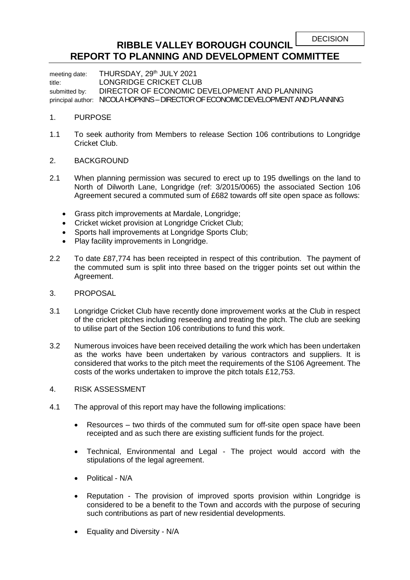## **RIBBLE VALLEY BOROUGH COUNCIL REPORT TO PLANNING AND DEVELOPMENT COMMITTEE**

meeting date: THURSDAY, 29<sup>th</sup> JULY 2021 title: LONGRIDGE CRICKET CLUB submitted by: DIRECTOR OF ECONOMIC DEVELOPMENT AND PLANNING principal author: NICOLA HOPKINS – DIRECTOR OF ECONOMIC DEVELOPMENT AND PLANNING

## 1. PURPOSE

- 1.1 To seek authority from Members to release Section 106 contributions to Longridge Cricket Club.
- 2. BACKGROUND
- 2.1 When planning permission was secured to erect up to 195 dwellings on the land to North of Dilworth Lane, Longridge (ref: 3/2015/0065) the associated Section 106 Agreement secured a commuted sum of £682 towards off site open space as follows:
	- Grass pitch improvements at Mardale, Longridge;
	- Cricket wicket provision at Longridge Cricket Club;
	- Sports hall improvements at Longridge Sports Club:
	- Play facility improvements in Longridge.
- 2.2 To date £87,774 has been receipted in respect of this contribution. The payment of the commuted sum is split into three based on the trigger points set out within the Agreement.
- 3. PROPOSAL
- 3.1 Longridge Cricket Club have recently done improvement works at the Club in respect of the cricket pitches including reseeding and treating the pitch. The club are seeking to utilise part of the Section 106 contributions to fund this work.
- 3.2 Numerous invoices have been received detailing the work which has been undertaken as the works have been undertaken by various contractors and suppliers. It is considered that works to the pitch meet the requirements of the S106 Agreement. The costs of the works undertaken to improve the pitch totals £12,753.
- 4. RISK ASSESSMENT
- 4.1 The approval of this report may have the following implications:
	- Resources two thirds of the commuted sum for off-site open space have been receipted and as such there are existing sufficient funds for the project.
	- Technical, Environmental and Legal The project would accord with the stipulations of the legal agreement.
	- Political N/A
	- Reputation *-* The provision of improved sports provision within Longridge is considered to be a benefit to the Town and accords with the purpose of securing such contributions as part of new residential developments.
	- Equality and Diversity N/A